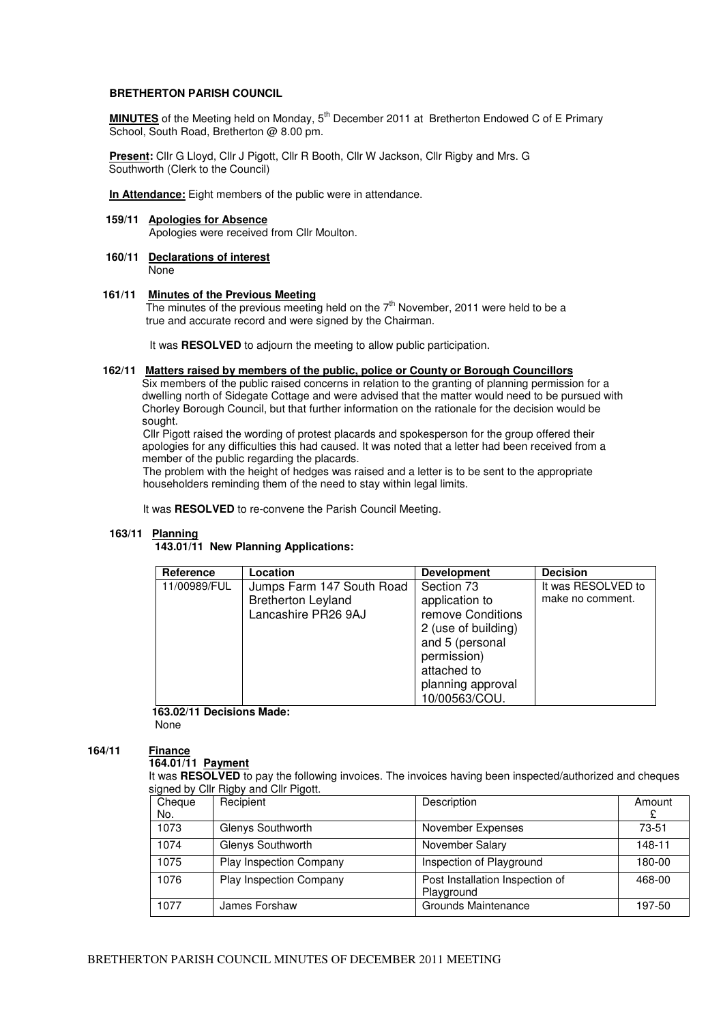## **BRETHERTON PARISH COUNCIL**

**MINUTES** of the Meeting held on Monday, 5<sup>th</sup> December 2011 at Bretherton Endowed C of E Primary School, South Road, Bretherton @ 8.00 pm.

**Present:** Cllr G Lloyd, Cllr J Pigott, Cllr R Booth, Cllr W Jackson, Cllr Rigby and Mrs. G Southworth (Clerk to the Council)

**In Attendance:** Eight members of the public were in attendance.

# **159/11 Apologies for Absence**

Apologies were received from Cllr Moulton.

# **160/11 Declarations of interest**

None

## **161/11 Minutes of the Previous Meeting**

The minutes of the previous meeting held on the 7<sup>th</sup> November, 2011 were held to be a true and accurate record and were signed by the Chairman.

It was **RESOLVED** to adjourn the meeting to allow public participation.

## **162/11 Matters raised by members of the public, police or County or Borough Councillors**

Six members of the public raised concerns in relation to the granting of planning permission for a dwelling north of Sidegate Cottage and were advised that the matter would need to be pursued with Chorley Borough Council, but that further information on the rationale for the decision would be sought.

 Cllr Pigott raised the wording of protest placards and spokesperson for the group offered their apologies for any difficulties this had caused. It was noted that a letter had been received from a member of the public regarding the placards.

 The problem with the height of hedges was raised and a letter is to be sent to the appropriate householders reminding them of the need to stay within legal limits.

It was **RESOLVED** to re-convene the Parish Council Meeting.

# **163/11 Planning**

## **143.01/11 New Planning Applications:**

| Reference    | Location                                                                      | <b>Development</b>                                                                                                                                              | <b>Decision</b>                        |
|--------------|-------------------------------------------------------------------------------|-----------------------------------------------------------------------------------------------------------------------------------------------------------------|----------------------------------------|
| 11/00989/FUL | Jumps Farm 147 South Road<br><b>Bretherton Leyland</b><br>Lancashire PR26 9AJ | Section 73<br>application to<br>remove Conditions<br>2 (use of building)<br>and 5 (personal<br>permission)<br>attached to<br>planning approval<br>10/00563/COU. | It was RESOLVED to<br>make no comment. |

 **163.02/11 Decisions Made:** None

#### **164/11 Finance**

# **164.01/11 Payment**

It was **RESOLVED** to pay the following invoices. The invoices having been inspected/authorized and cheques signed by Cllr Rigby and Cllr Pigott.

| Cheque<br>No. | Recipient               | Description                                   | Amount<br>£ |
|---------------|-------------------------|-----------------------------------------------|-------------|
| 1073          | Glenys Southworth       | November Expenses                             | $73 - 51$   |
| 1074          | Glenys Southworth       | November Salary                               | 148-11      |
| 1075          | Play Inspection Company | Inspection of Playground                      | 180-00      |
| 1076          | Play Inspection Company | Post Installation Inspection of<br>Playground | 468-00      |
| 1077          | James Forshaw           | Grounds Maintenance                           | 197-50      |